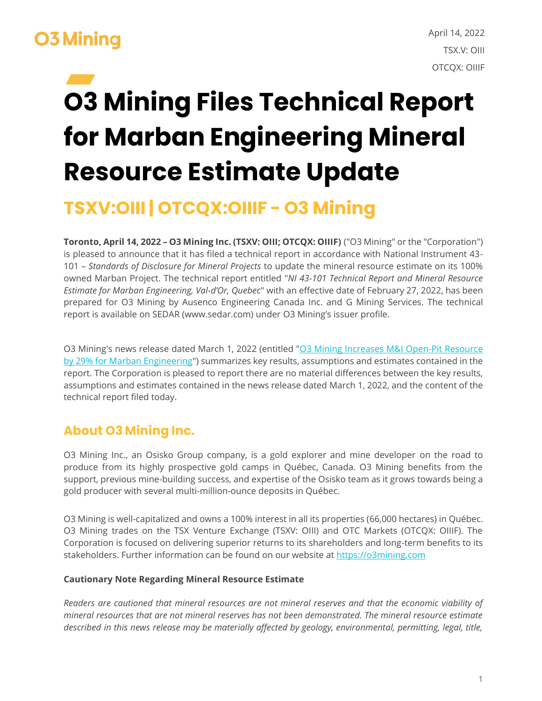# **03 Mining**

# **03 Mining Files Technical Report** for Marban Engineering Mineral **Resource Estimate Update**

## **TSXV:OIII | OTCQX:OIIIF - 03 Mining**

**Toronto, April 14, 2022 – O3 Mining Inc. (TSXV: OIII; OTCQX: OIIIF)** ("O3 Mining" or the "Corporation") is pleased to announce that it has filed a technical report in accordance with National Instrument 43- 101 – *Standards of Disclosure for Mineral Projects* to update the mineral resource estimate on its 100% owned Marban Project. The technical report entitled "*NI 43-101 Technical Report and Mineral Resource Estimate for Marban Engineering, Val-d'Or, Quebec*" with an effective date of February 27, 2022, has been prepared for O3 Mining by Ausenco Engineering Canada Inc. and G Mining Services. The technical report is available on SEDAR (www.sedar.com) under O3 Mining's issuer profile.

O3 Mining's news release dated March 1, 2022 (entitled "O3 Mining Increases M&I Open-Pit Resource [by 29% for Marban Engineering"](https://o3mining.mediaroom.com/2022-03-01-O3-Mining-Increases-M-I-Open-Pit-Resource-by-29-for-Marban-Engineering)) summarizes key results, assumptions and estimates contained in the report. The Corporation is pleased to report there are no material differences between the key results, assumptions and estimates contained in the news release dated March 1, 2022, and the content of the technical report filed today.

## **About O3 Mining Inc.**

O3 Mining Inc., an Osisko Group company, is a gold explorer and mine developer on the road to produce from its highly prospective gold camps in Québec, Canada. O3 Mining benefits from the support, previous mine-building success, and expertise of the Osisko team as it grows towards being a gold producer with several multi-million-ounce deposits in Québec.

O3 Mining is well-capitalized and owns a 100% interest in all its properties (66,000 hectares) in Québec. O3 Mining trades on the TSX Venture Exchange (TSXV: OIII) and OTC Markets (OTCQX: OIIIF). The Corporation is focused on delivering superior returns to its shareholders and long-term benefits to its stakeholders. Further information can be found on our website at [https://o3mining.com](https://o3mining.com/)

### **Cautionary Note Regarding Mineral Resource Estimate**

*Readers are cautioned that mineral resources are not mineral reserves and that the economic viability of mineral resources that are not mineral reserves has not been demonstrated. The mineral resource estimate described in this news release may be materially affected by geology, environmental, permitting, legal, title,*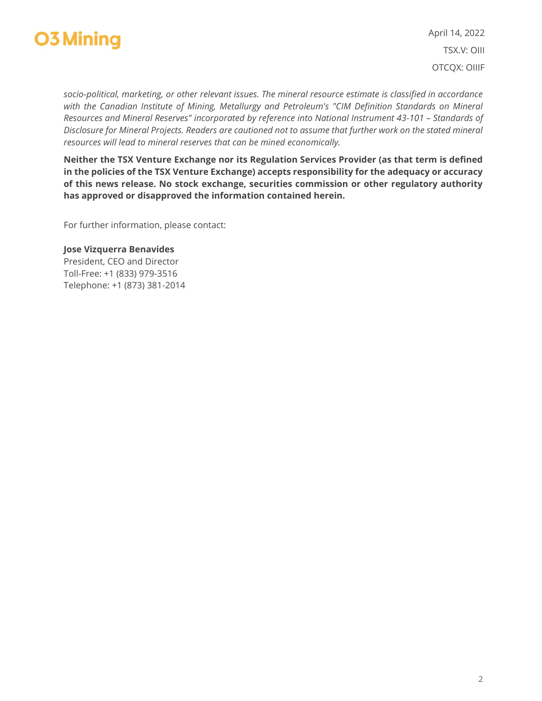

April 14, 2022 TSX.V: OIII OTCQX: OIIIF

*socio-political, marketing, or other relevant issues. The mineral resource estimate is classified in accordance*  with the Canadian Institute of Mining, Metallurgy and Petroleum's "CIM Definition Standards on Mineral *Resources and Mineral Reserves" incorporated by reference into National Instrument 43-101 - Standards of Disclosure for Mineral Projects. Readers are cautioned not to assume that further work on the stated mineral resources will lead to mineral reserves that can be mined economically.*

**Neither the TSX Venture Exchange nor its Regulation Services Provider (as that term is defined in the policies of the TSX Venture Exchange) accepts responsibility for the adequacy or accuracy of this news release. No stock exchange, securities commission or other regulatory authority has approved or disapproved the information contained herein.**

For further information, please contact:

#### **Jose Vizquerra Benavides** President, CEO and Director Toll-Free: +1 (833) 979-3516 Telephone: +1 (873) 381-2014